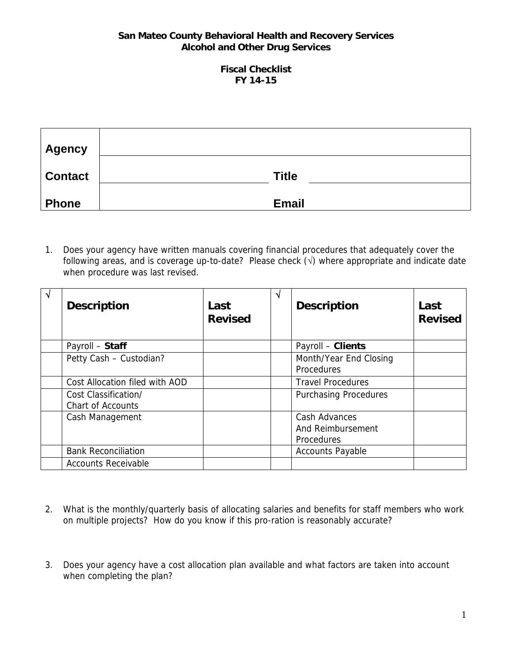#### **Fiscal Checklist FY 14-15**

| Agency         |              |
|----------------|--------------|
| <b>Contact</b> | <b>Title</b> |
| <b>Phone</b>   | <b>Email</b> |

1. Does your agency have written manuals covering financial procedures that adequately cover the following areas, and is coverage up-to-date? Please check  $(\sqrt{})$  where appropriate and indicate date when procedure was last revised.

| N | <b>Description</b>                               | Last<br><b>Revised</b> | N | <b>Description</b>                                      | Last<br><b>Revised</b> |
|---|--------------------------------------------------|------------------------|---|---------------------------------------------------------|------------------------|
|   | Payroll - Staff                                  |                        |   | Payroll - Clients                                       |                        |
|   | Petty Cash - Custodian?                          |                        |   | Month/Year End Closing<br><b>Procedures</b>             |                        |
|   | Cost Allocation filed with AOD                   |                        |   | <b>Travel Procedures</b>                                |                        |
|   | Cost Classification/<br><b>Chart of Accounts</b> |                        |   | <b>Purchasing Procedures</b>                            |                        |
|   | Cash Management                                  |                        |   | Cash Advances<br>And Reimbursement<br><b>Procedures</b> |                        |
|   | <b>Bank Reconciliation</b>                       |                        |   | <b>Accounts Payable</b>                                 |                        |
|   | <b>Accounts Receivable</b>                       |                        |   |                                                         |                        |

- 2. What is the monthly/quarterly basis of allocating salaries and benefits for staff members who work on multiple projects? How do you know if this pro-ration is reasonably accurate?
- 3. Does your agency have a cost allocation plan available and what factors are taken into account when completing the plan?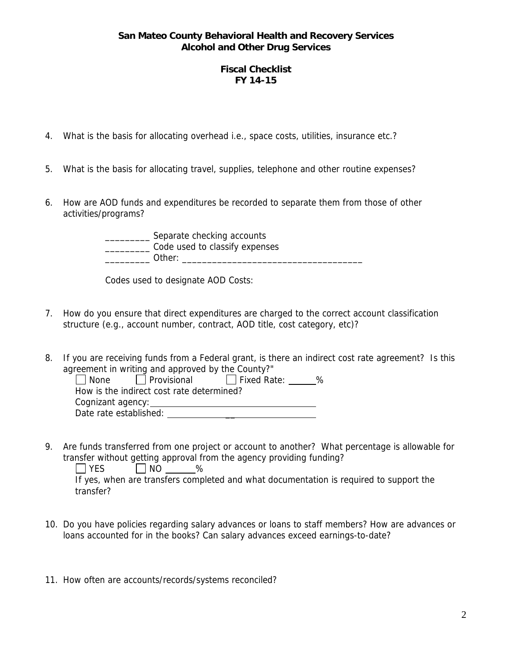### **Fiscal Checklist FY 14-15**

- 4. What is the basis for allocating overhead i.e., space costs, utilities, insurance etc.?
- 5. What is the basis for allocating travel, supplies, telephone and other routine expenses?
- 6. How are AOD funds and expenditures be recorded to separate them from those of other activities/programs?

\_\_\_\_\_\_\_\_\_ Separate checking accounts \_\_\_\_\_\_\_\_\_ Code used to classify expenses \_\_\_\_\_\_\_\_\_ Other: \_\_\_\_\_\_\_\_\_\_\_\_\_\_\_\_\_\_\_\_\_\_\_\_\_\_\_\_\_\_\_\_\_\_\_\_

Codes used to designate AOD Costs:

- 7. How do you ensure that direct expenditures are charged to the correct account classification structure (e.g., account number, contract, AOD title, cost category, etc)?
- 8. If you are receiving funds from a Federal grant, is there an indirect cost rate agreement? Is this agreement in writing and approved by the County?"

| $\Box$ Provisional<br>None                | $\Box$ Fixed Rate: | % |  |
|-------------------------------------------|--------------------|---|--|
| How is the indirect cost rate determined? |                    |   |  |
| Cognizant agency:                         |                    |   |  |
| Date rate established:                    |                    |   |  |

9. Are funds transferred from one project or account to another? What percentage is allowable for transfer without getting approval from the agency providing funding?  $\Box$  YES  $\Box$  NO %

If yes, when are transfers completed and what documentation is required to support the transfer?

- 10. Do you have policies regarding salary advances or loans to staff members? How are advances or loans accounted for in the books? Can salary advances exceed earnings-to-date?
- 11. How often are accounts/records/systems reconciled?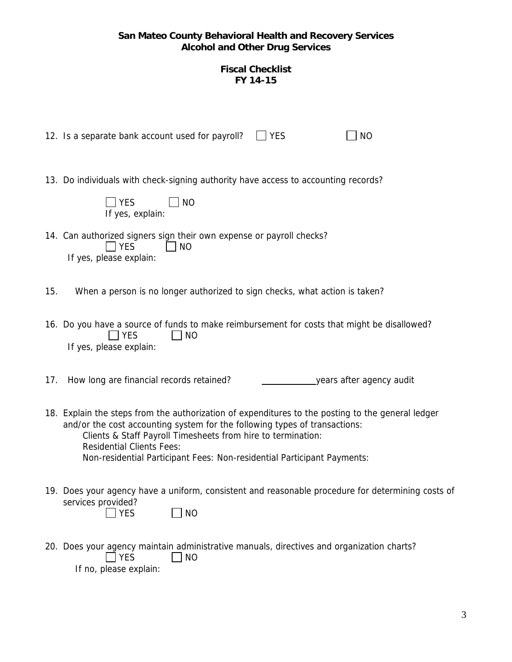## **Fiscal Checklist FY 14-15**

|     | <b>YES</b><br>12. Is a separate bank account used for payroll?<br><b>NO</b>                                                                                                                                                                                                                                                                                    |
|-----|----------------------------------------------------------------------------------------------------------------------------------------------------------------------------------------------------------------------------------------------------------------------------------------------------------------------------------------------------------------|
|     | 13. Do individuals with check-signing authority have access to accounting records?<br><b>YES</b><br><b>NO</b><br>If yes, explain:                                                                                                                                                                                                                              |
|     | 14. Can authorized signers sign their own expense or payroll checks?<br>  YES<br><b>NO</b><br>If yes, please explain:                                                                                                                                                                                                                                          |
| 15. | When a person is no longer authorized to sign checks, what action is taken?                                                                                                                                                                                                                                                                                    |
|     | 16. Do you have a source of funds to make reimbursement for costs that might be disallowed?<br><b>NO</b><br><b>YES</b><br>If yes, please explain:                                                                                                                                                                                                              |
| 17. | How long are financial records retained?<br>_years after agency audit                                                                                                                                                                                                                                                                                          |
|     | 18. Explain the steps from the authorization of expenditures to the posting to the general ledger<br>and/or the cost accounting system for the following types of transactions:<br>Clients & Staff Payroll Timesheets from hire to termination:<br><b>Residential Clients Fees:</b><br>Non-residential Participant Fees: Non-residential Participant Payments: |
|     | 19. Does your agency have a uniform, consistent and reasonable procedure for determining costs of<br>services provided?<br><b>YES</b><br><b>NO</b>                                                                                                                                                                                                             |
|     | 20. Does your agency maintain administrative manuals, directives and organization charts?<br><b>YES</b><br><b>NO</b><br>If no, please explain:                                                                                                                                                                                                                 |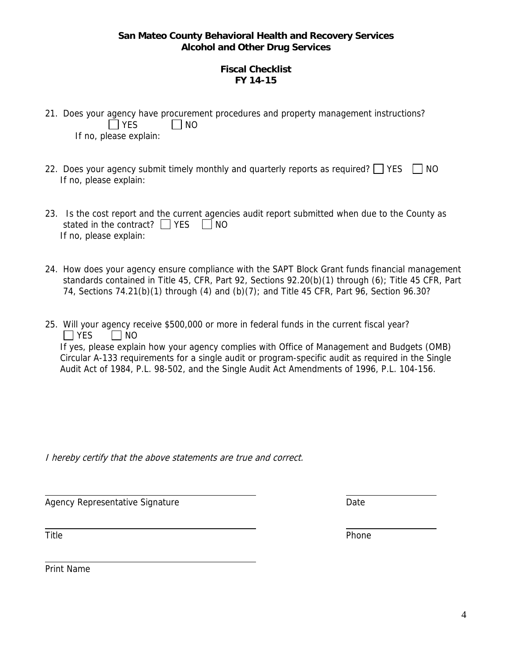## **Fiscal Checklist FY 14-15**

- 21. Does your agency have procurement procedures and property management instructions?  $\Box$  YES  $\Box$  NO If no, please explain:
- 22. Does your agency submit timely monthly and quarterly reports as required?  $\Box$  YES  $\Box$  NO If no, please explain:
- 23. Is the cost report and the current agencies audit report submitted when due to the County as stated in the contract?  $\Box$  YES  $\Box$  NO If no, please explain:
- 24. How does your agency ensure compliance with the SAPT Block Grant funds financial management standards contained in Title 45, CFR, Part 92, Sections 92.20(b)(1) through (6); Title 45 CFR, Part 74, Sections 74.21(b)(1) through (4) and (b)(7); and Title 45 CFR, Part 96, Section 96.30?
- 25. Will your agency receive \$500,000 or more in federal funds in the current fiscal year?  $\Box$  YES  $\Box$  NO If yes, please explain how your agency complies with Office of Management and Budgets (OMB) Circular A-133 requirements for a single audit or program-specific audit as required in the Single Audit Act of 1984, P.L. 98-502, and the Single Audit Act Amendments of 1996, P.L. 104-156.

I hereby certify that the above statements are true and correct.

Agency Representative Signature **Date** 

Title **Phone** 

 $\overline{\phantom{a}}$ 

 $\overline{\phantom{a}}$ 

Print Name